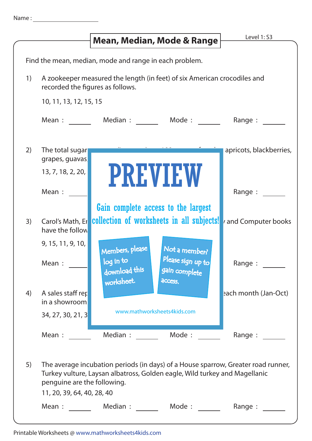|    |                                                                                                              |                                                             | Mean, Median, Mode & Range                                                 | Level 1: S3                                                                       |
|----|--------------------------------------------------------------------------------------------------------------|-------------------------------------------------------------|----------------------------------------------------------------------------|-----------------------------------------------------------------------------------|
|    |                                                                                                              |                                                             |                                                                            |                                                                                   |
|    |                                                                                                              | Find the mean, median, mode and range in each problem.      |                                                                            |                                                                                   |
| 1) | A zookeeper measured the length (in feet) of six American crocodiles and<br>recorded the figures as follows. |                                                             |                                                                            |                                                                                   |
|    | 10, 11, 13, 12, 15, 15                                                                                       |                                                             |                                                                            |                                                                                   |
|    | Mean :                                                                                                       |                                                             | Median: Mode:                                                              | Range:                                                                            |
| 2) | The total sugar<br>grapes, guavas                                                                            |                                                             |                                                                            | apricots, blackberries,                                                           |
|    | 13, 7, 18, 2, 20,                                                                                            |                                                             | <b>PREVIEW</b>                                                             |                                                                                   |
|    | Mean:                                                                                                        |                                                             |                                                                            | Range :                                                                           |
|    |                                                                                                              |                                                             | Gain complete access to the largest                                        |                                                                                   |
| 3) | Carol's Math, Er<br>have the follow                                                                          |                                                             | collection of worksheets in all subjects!                                  | and Computer books                                                                |
|    | 9, 15, 11, 9, 10,<br>Mean:                                                                                   | Members, please<br>log in to<br>download this<br>worksheet. | Not a member?<br>Please sign up to<br>gain complete<br>access.             | Range : $\frac{ }{ }$                                                             |
| 4) | A sales staff rep<br>in a showroom                                                                           |                                                             |                                                                            | each month (Jan-Oct)                                                              |
|    | 34, 27, 30, 21, 3                                                                                            | www.mathworksheets4kids.com                                 |                                                                            |                                                                                   |
|    | Mean :                                                                                                       | Median :                                                    | Mode:                                                                      | Range :                                                                           |
| 5) | penguine are the following.                                                                                  |                                                             | Turkey vulture, Laysan albatross, Golden eagle, Wild turkey and Magellanic | The average incubation periods (in days) of a House sparrow, Greater road runner, |

| 11, 20, 39, 64, 40, 28, 40 |          |        |           |  |  |
|----------------------------|----------|--------|-----------|--|--|
| Mean :                     | Median : | Mode : | Range $:$ |  |  |